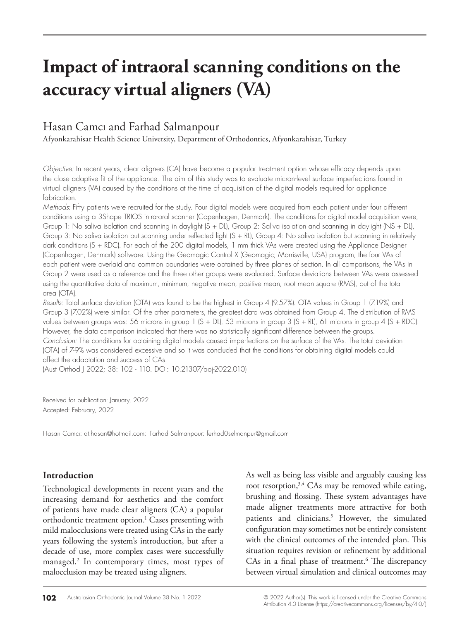# **Impact of intraoral scanning conditions on the accuracy virtual aligners (VA)**

## Hasan Camcı and Farhad Salmanpour

Afyonkarahisar Health Science University, Department of Orthodontics, Afyonkarahisar, Turkey

*Objective:* In recent years, clear aligners (CA) have become a popular treatment option whose efficacy depends upon the close adaptive fit of the appliance. The aim of this study was to evaluate micron-level surface imperfections found in virtual aligners (VA) caused by the conditions at the time of acquisition of the digital models required for appliance fabrication.

*Methods:* Fifty patients were recruited for the study. Four digital models were acquired from each patient under four different conditions using a 3Shape TRIOS intra-oral scanner (Copenhagen, Denmark). The conditions for digital model acquisition were, Group 1: No saliva isolation and scanning in daylight (S + DL), Group 2: Saliva isolation and scanning in daylight (NS + DL), Group 3: No saliva isolation but scanning under reflected light (S + RL), Group 4: No saliva isolation but scanning in relatively dark conditions (S + RDC). For each of the 200 digital models, 1 mm thick VAs were created using the Appliance Designer (Copenhagen, Denmark) software. Using the Geomagic Control X (Geomagic; Morrisville, USA) program, the four VAs of each patient were overlaid and common boundaries were obtained by three planes of section. In all comparisons, the VAs in Group 2 were used as a reference and the three other groups were evaluated. Surface deviations between VAs were assessed using the quantitative data of maximum, minimum, negative mean, positive mean, root mean square (RMS), out of the total area (OTA).

*Results:* Total surface deviation (OTA) was found to be the highest in Group 4 (9.57%). OTA values in Group 1 (7.19%) and Group 3 (7.02%) were similar. Of the other parameters, the greatest data was obtained from Group 4. The distribution of RMS values between groups was: 56 microns in group 1 (S + DL), 53 microns in group 3 (S + RL), 61 microns in group 4 (S + RDC). However, the data comparison indicated that there was no statistically significant difference between the groups. *Conclusion:* The conditions for obtaining digital models caused imperfections on the surface of the VAs. The total deviation (OTA) of 7-9% was considered excessive and so it was concluded that the conditions for obtaining digital models could affect the adaptation and success of CAs.

(Aust Orthod J 2022; 38: 102 - 110. DOI: 10.21307/aoj-2022.010)

Received for publication: January, 2022 Accepted: February, 2022

Hasan Camcı: dt.hasan@hotmail.com; Farhad Salmanpour: ferhad0selmanpur@gmail.com

## **Introduction**

Technological developments in recent years and the increasing demand for aesthetics and the comfort of patients have made clear aligners (CA) a popular orthodontic treatment option.<sup>1</sup> Cases presenting with mild malocclusions were treated using CAs in the early years following the system's introduction, but after a decade of use, more complex cases were successfully managed.2 In contemporary times, most types of malocclusion may be treated using aligners.

As well as being less visible and arguably causing less root resorption, $3,4$  CAs may be removed while eating, brushing and flossing. These system advantages have made aligner treatments more attractive for both patients and clinicians.<sup>5</sup> However, the simulated configuration may sometimes not be entirely consistent with the clinical outcomes of the intended plan. This situation requires revision or refinement by additional CAs in a final phase of treatment.<sup>6</sup> The discrepancy between virtual simulation and clinical outcomes may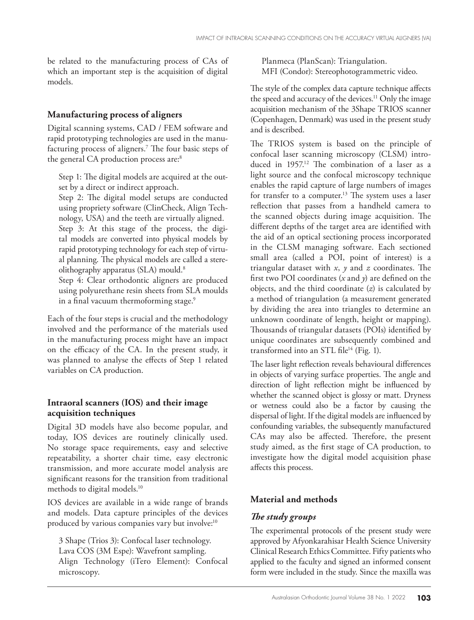be related to the manufacturing process of CAs of which an important step is the acquisition of digital models.

## **Manufacturing process of aligners**

Digital scanning systems, CAD / FEM software and rapid prototyping technologies are used in the manufacturing process of aligners.7 The four basic steps of the general CA production process are:<sup>8</sup>

Step 1: The digital models are acquired at the outset by a direct or indirect approach.

Step 2: The digital model setups are conducted using propriety software (ClinCheck, Align Technology, USA) and the teeth are virtually aligned. Step 3: At this stage of the process, the digital models are converted into physical models by rapid prototyping technology for each step of virtual planning. The physical models are called a stereolithography apparatus (SLA) mould.<sup>8</sup>

Step 4: Clear orthodontic aligners are produced using polyurethane resin sheets from SLA moulds in a final vacuum thermoforming stage.<sup>9</sup>

Each of the four steps is crucial and the methodology involved and the performance of the materials used in the manufacturing process might have an impact on the efficacy of the CA. In the present study, it was planned to analyse the effects of Step 1 related variables on CA production.

### **Intraoral scanners (IOS) and their image acquisition techniques**

Digital 3D models have also become popular, and today, IOS devices are routinely clinically used. No storage space requirements, easy and selective repeatability, a shorter chair time, easy electronic transmission, and more accurate model analysis are significant reasons for the transition from traditional methods to digital models.10

IOS devices are available in a wide range of brands and models. Data capture principles of the devices produced by various companies vary but involve:<sup>10</sup>

3 Shape (Trios 3): Confocal laser technology. Lava COS (3M Espe): Wavefront sampling. Align Technology (iTero Element): Confocal microscopy.

Planmeca (PlanScan): Triangulation. MFI (Condor): Stereophotogrammetric video.

The style of the complex data capture technique affects the speed and accuracy of the devices.<sup>11</sup> Only the image acquisition mechanism of the 3Shape TRIOS scanner (Copenhagen, Denmark) was used in the present study and is described.

The TRIOS system is based on the principle of confocal laser scanning microscopy (CLSM) introduced in 1957.<sup>12</sup> The combination of a laser as a light source and the confocal microscopy technique enables the rapid capture of large numbers of images for transfer to a computer.<sup>13</sup> The system uses a laser reflection that passes from a handheld camera to the scanned objects during image acquisition. The different depths of the target area are identified with the aid of an optical sectioning process incorporated in the CLSM managing software. Each sectioned small area (called a POI, point of interest) is a triangular dataset with *x*, *y* and *z* coordinates. The first two POI coordinates (*x* and *y*) are defined on the objects, and the third coordinate (*z*) is calculated by a method of triangulation (a measurement generated by dividing the area into triangles to determine an unknown coordinate of length, height or mapping). Thousands of triangular datasets (POIs) identified by unique coordinates are subsequently combined and transformed into an STL file $14$  (Fig. 1).

The laser light reflection reveals behavioural differences in objects of varying surface properties. The angle and direction of light reflection might be influenced by whether the scanned object is glossy or matt. Dryness or wetness could also be a factor by causing the dispersal of light. If the digital models are influenced by confounding variables, the subsequently manufactured CAs may also be affected. Therefore, the present study aimed, as the first stage of CA production, to investigate how the digital model acquisition phase affects this process.

## **Material and methods**

## *The study groups*

The experimental protocols of the present study were approved by Afyonkarahisar Health Science University Clinical Research Ethics Committee. Fifty patients who applied to the faculty and signed an informed consent form were included in the study. Since the maxilla was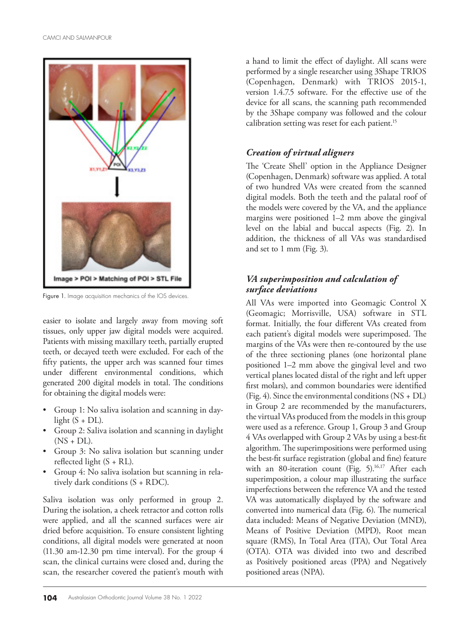

Figure 1. Image acquisition mechanics of the IOS devices.

easier to isolate and largely away from moving soft tissues, only upper jaw digital models were acquired. Patients with missing maxillary teeth, partially erupted teeth, or decayed teeth were excluded. For each of the fifty patients, the upper arch was scanned four times under different environmental conditions, which generated 200 digital models in total. The conditions for obtaining the digital models were:

- • Group 1: No saliva isolation and scanning in daylight  $(S + DL)$ .
- • Group 2: Saliva isolation and scanning in daylight  $(NS + DL).$
- • Group 3: No saliva isolation but scanning under reflected light  $(S + RL)$ .
- Group 4: No saliva isolation but scanning in relatively dark conditions (S + RDC).

Saliva isolation was only performed in group 2. During the isolation, a cheek retractor and cotton rolls were applied, and all the scanned surfaces were air dried before acquisition. To ensure consistent lighting conditions, all digital models were generated at noon (11.30 am-12.30 pm time interval). For the group 4 scan, the clinical curtains were closed and, during the scan, the researcher covered the patient's mouth with

a hand to limit the effect of daylight. All scans were performed by a single researcher using 3Shape TRIOS (Copenhagen, Denmark) with TRIOS 2015-1, version 1.4.7.5 software. For the effective use of the device for all scans, the scanning path recommended by the 3Shape company was followed and the colour calibration setting was reset for each patient.<sup>15</sup>

## *Creation of virtual aligners*

The 'Create Shell' option in the Appliance Designer (Copenhagen, Denmark) software was applied. A total of two hundred VAs were created from the scanned digital models. Both the teeth and the palatal roof of the models were covered by the VA, and the appliance margins were positioned 1–2 mm above the gingival level on the labial and buccal aspects (Fig. 2). In addition, the thickness of all VAs was standardised and set to 1 mm (Fig. 3).

## *VA superimposition and calculation of surface deviations*

All VAs were imported into Geomagic Control X (Geomagic; Morrisville, USA) software in STL format. Initially, the four different VAs created from each patient's digital models were superimposed. The margins of the VAs were then re-contoured by the use of the three sectioning planes (one horizontal plane positioned 1–2 mm above the gingival level and two vertical planes located distal of the right and left upper first molars), and common boundaries were identified (Fig. 4). Since the environmental conditions (NS + DL) in Group 2 are recommended by the manufacturers, the virtual VAs produced from the models in this group were used as a reference. Group 1, Group 3 and Group 4 VAs overlapped with Group 2 VAs by using a best-fit algorithm. The superimpositions were performed using the best-fit surface registration (global and fine) feature with an 80-iteration count (Fig. 5).<sup>16,17</sup> After each superimposition, a colour map illustrating the surface imperfections between the reference VA and the tested VA was automatically displayed by the software and converted into numerical data (Fig. 6). The numerical data included: Means of Negative Deviation (MND), Means of Positive Deviation (MPD), Root mean square (RMS), In Total Area (ITA), Out Total Area (OTA). OTA was divided into two and described as Positively positioned areas (PPA) and Negatively positioned areas (NPA).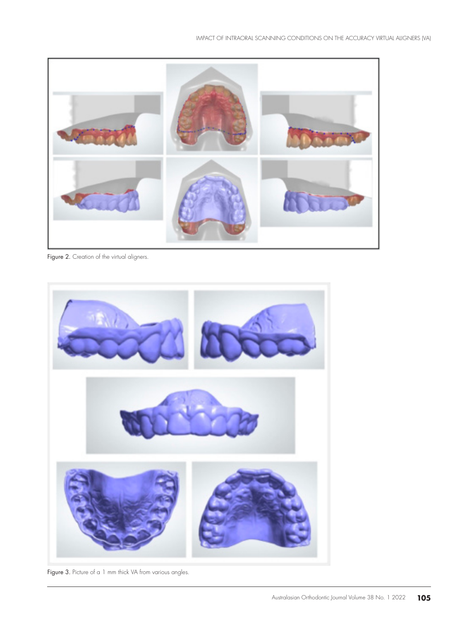

Figure 2. Creation of the virtual aligners.



Figure 3. Picture of a 1 mm thick VA from various angles.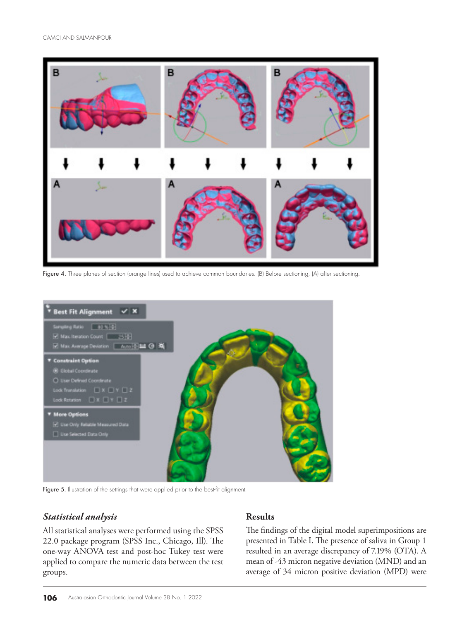

Figure 4. Three planes of section (orange lines) used to achieve common boundaries. (B) Before sectioning, (A) after sectioning.



Figure 5. Illustration of the settings that were applied prior to the best-fit alignment.

#### *Statistical analysis*

All statistical analyses were performed using the SPSS 22.0 package program (SPSS Inc., Chicago, Ill). The one-way ANOVA test and post-hoc Tukey test were applied to compare the numeric data between the test groups.

## **Results**

The findings of the digital model superimpositions are presented in Table I. The presence of saliva in Group 1 resulted in an average discrepancy of 7.19% (OTA). A mean of -43 micron negative deviation (MND) and an average of 34 micron positive deviation (MPD) were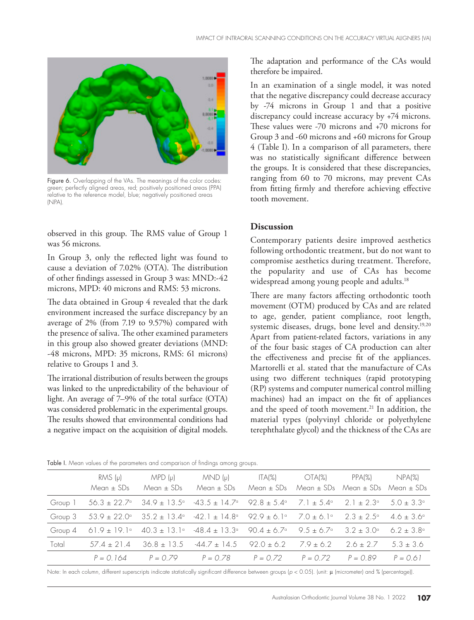

Figure 6. Overlapping of the VAs. The meanings of the color codes: green; perfectly aligned areas, red; positively positioned areas (PPA) relative to the reference model, blue; negatively positioned areas (NPA)

observed in this group. The RMS value of Group 1 was 56 microns.

In Group 3, only the reflected light was found to cause a deviation of 7.02% (OTA). The distribution of other findings assessed in Group 3 was: MND:-42 microns, MPD: 40 microns and RMS: 53 microns.

The data obtained in Group 4 revealed that the dark environment increased the surface discrepancy by an average of 2% (from 7.19 to 9.57%) compared with the presence of saliva. The other examined parameters in this group also showed greater deviations (MND: -48 microns, MPD: 35 microns, RMS: 61 microns) relative to Groups 1 and 3.

The irrational distribution of results between the groups was linked to the unpredictability of the behaviour of light. An average of 7–9% of the total surface (OTA) was considered problematic in the experimental groups. The results showed that environmental conditions had a negative impact on the acquisition of digital models.

The adaptation and performance of the CAs would therefore be impaired.

In an examination of a single model, it was noted that the negative discrepancy could decrease accuracy by -74 microns in Group 1 and that a positive discrepancy could increase accuracy by +74 microns. These values were -70 microns and +70 microns for Group 3 and -60 microns and +60 microns for Group 4 (Table I). In a comparison of all parameters, there was no statistically significant difference between the groups. It is considered that these discrepancies, ranging from 60 to 70 microns, may prevent CAs from fitting firmly and therefore achieving effective tooth movement.

#### **Discussion**

Contemporary patients desire improved aesthetics following orthodontic treatment, but do not want to compromise aesthetics during treatment. Therefore, the popularity and use of CAs has become widespread among young people and adults.<sup>18</sup>

There are many factors affecting orthodontic tooth movement (OTM) produced by CAs and are related to age, gender, patient compliance, root length, systemic diseases, drugs, bone level and density.<sup>19,20</sup> Apart from patient-related factors, variations in any of the four basic stages of CA production can alter the effectiveness and precise fit of the appliances. Martorelli et al. stated that the manufacture of CAs using two different techniques (rapid prototyping (RP) systems and computer numerical control milling machines) had an impact on the fit of appliances and the speed of tooth movement.<sup>21</sup> In addition, the material types (polyvinyl chloride or polyethylene terephthalate glycol) and the thickness of the CAs are

| RMS (µ)<br>Mean $\pm$ SDs | $MPD(\mu)$<br>Mean ± SDs | $MND (\mu)$<br>Mean ± SDs                                                                                                                                                 | Mean ± SDs = Mean ± SDs = Mean ± SDs = Mean ± SD | ITAI%) OTAI%) | PPAI%) | NPA(%) |
|---------------------------|--------------------------|---------------------------------------------------------------------------------------------------------------------------------------------------------------------------|--------------------------------------------------|---------------|--------|--------|
|                           |                          | Group 1 $56.3 \pm 22.7^{\circ}$ $34.9 \pm 13.5^{\circ}$ $-43.5 \pm 14.7^{\circ}$ $92.8 \pm 5.4^{\circ}$ $7.1 \pm 5.4^{\circ}$ $2.1 \pm 2.3^{\circ}$ $5.0 \pm 3.3^{\circ}$ |                                                  |               |        |        |
|                           |                          | Group 3 $53.9 \pm 22.0^{\circ}$ $35.2 \pm 13.4^{\circ}$ $-42.1 \pm 14.8^{\circ}$ $92.9 \pm 6.1^{\circ}$ $7.0 \pm 6.1^{\circ}$ $2.3 \pm 2.5^{\circ}$ $4.6 \pm 3.6^{\circ}$ |                                                  |               |        |        |
|                           |                          | Group 4 61.9 ± 19.1 $^{\circ}$ 40.3 ± 13.1 $^{\circ}$ -48.4 ± 13.3 $^{\circ}$ 90.4 ± 6.7 $^{\circ}$ 9.5 ± 6.7 $^{\circ}$ 3.2 ± 3.0 $^{\circ}$ 6.2 ± 3.8 $^{\circ}$        |                                                  |               |        |        |

Table I. Mean values of the parameters and comparison of findings among groups.

Note: In each column, different superscripts indicate statistically significant difference between groups (*p* < 0.05). (unit: μ (micrometer) and % (percentage)).

Total  $57.4 \pm 21.4$   $36.8 \pm 13.5$   $-44.7 \pm 14.5$   $92.0 \pm 6.2$   $7.9 \pm 6.2$   $2.6 \pm 2.7$   $5.3 \pm 3.6$ 

*P = 0.164 P = 0.79 P = 0.78 P = 0.72 P = 0.72 P = 0.89 P = 0.61*

NPA(%) Mean ± SDs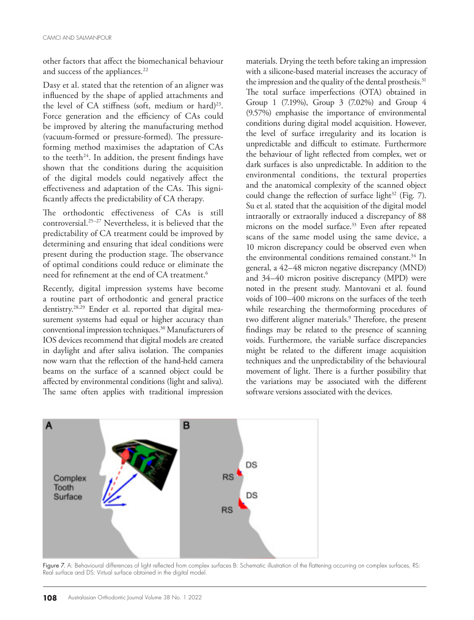other factors that affect the biomechanical behaviour and success of the appliances.<sup>22</sup>

Dasy et al. stated that the retention of an aligner was influenced by the shape of applied attachments and the level of CA stiffness (soft, medium or hard)<sup>23</sup>. Force generation and the efficiency of CAs could be improved by altering the manufacturing method (vacuum-formed or pressure-formed). The pressureforming method maximises the adaptation of CAs to the teeth<sup>24</sup>. In addition, the present findings have shown that the conditions during the acquisition of the digital models could negatively affect the effectiveness and adaptation of the CAs. This significantly affects the predictability of CA therapy.

The orthodontic effectiveness of CAs is still controversial.25–27 Nevertheless, it is believed that the predictability of CA treatment could be improved by determining and ensuring that ideal conditions were present during the production stage. The observance of optimal conditions could reduce or eliminate the need for refinement at the end of CA treatment.<sup>6</sup>

Recently, digital impression systems have become a routine part of orthodontic and general practice dentistry.28,29 Ender et al. reported that digital measurement systems had equal or higher accuracy than conventional impression techniques.30 Manufacturers of IOS devices recommend that digital models are created in daylight and after saliva isolation. The companies now warn that the reflection of the hand-held camera beams on the surface of a scanned object could be affected by environmental conditions (light and saliva). The same often applies with traditional impression

materials. Drying the teeth before taking an impression with a silicone-based material increases the accuracy of the impression and the quality of the dental prosthesis.<sup>31</sup> The total surface imperfections (OTA) obtained in Group 1 (7.19%), Group 3 (7.02%) and Group 4 (9.57%) emphasise the importance of environmental conditions during digital model acquisition. However, the level of surface irregularity and its location is unpredictable and difficult to estimate. Furthermore the behaviour of light reflected from complex, wet or dark surfaces is also unpredictable. In addition to the environmental conditions, the textural properties and the anatomical complexity of the scanned object could change the reflection of surface light $32$  (Fig. 7). Su et al. stated that the acquisition of the digital model intraorally or extraorally induced a discrepancy of 88 microns on the model surface.<sup>33</sup> Even after repeated scans of the same model using the same device, a 10 micron discrepancy could be observed even when the environmental conditions remained constant.<sup>34</sup> In general, a 42–48 micron negative discrepancy (MND) and 34–40 micron positive discrepancy (MPD) were noted in the present study. Mantovani et al. found voids of 100–400 microns on the surfaces of the teeth while researching the thermoforming procedures of two different aligner materials.<sup>9</sup> Therefore, the present findings may be related to the presence of scanning voids. Furthermore, the variable surface discrepancies might be related to the different image acquisition techniques and the unpredictability of the behavioural movement of light. There is a further possibility that the variations may be associated with the different software versions associated with the devices.



Figure 7. A: Behavioural differences of light reflected from complex surfaces B: Schematic illustration of the flattening occurring on complex surfaces, RS: Real surface and DS: Virtual surface obtained in the digital model.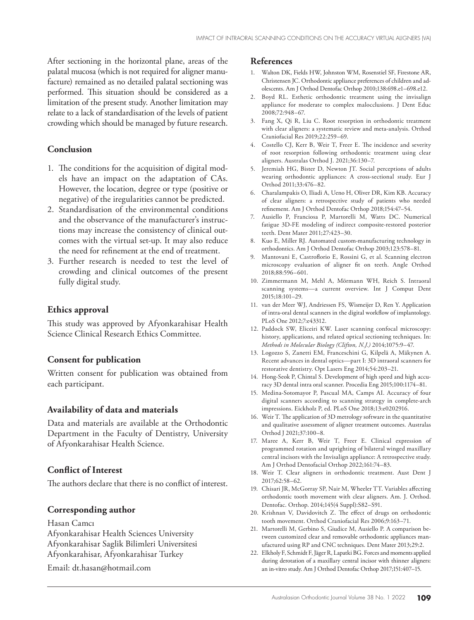After sectioning in the horizontal plane, areas of the palatal mucosa (which is not required for aligner manufacture) remained as no detailed palatal sectioning was performed. This situation should be considered as a limitation of the present study. Another limitation may relate to a lack of standardisation of the levels of patient crowding which should be managed by future research.

#### **Conclusion**

- 1. The conditions for the acquisition of digital models have an impact on the adaptation of CAs. However, the location, degree or type (positive or negative) of the iregularities cannot be predicted.
- 2. Standardisation of the environmental conditions and the observance of the manufacturer's instructions may increase the consistency of clinical outcomes with the virtual set-up. It may also reduce the need for refinement at the end of treatment.
- 3. Further research is needed to test the level of crowding and clinical outcomes of the present fully digital study.

#### **Ethics approval**

This study was approved by Afyonkarahisar Health Science Clinical Research Ethics Committee.

#### **Consent for publication**

Written consent for publication was obtained from each participant.

#### **Availability of data and materials**

Data and materials are available at the Orthodontic Department in the Faculty of Dentistry, University of Afyonkarahisar Health Science.

#### **Conflict of Interest**

The authors declare that there is no conflict of interest.

#### **Corresponding author**

Hasan Camcı Afyonkarahisar Health Sciences University Afyonkarahisar Saglik Bilimleri Universitesi Afyonkarahisar, Afyonkarahisar Turkey

Email: dt.hasan@hotmail.com

#### **References**

- 1. Walton DK, Fields HW, Johnston WM, Rosenstiel SF, Firestone AR, Christensen JC. Orthodontic appliance preferences of children and adolescents. Am J Orthod Dentofac Orthop 2010;138:698.e1–698.e12.
- 2. Boyd RL. Esthetic orthodontic treatment using the invisalign appliance for moderate to complex malocclusions. J Dent Educ 2008;72:948–67.
- 3. Fang X, Qi R, Liu C. Root resorption in orthodontic treatment with clear aligners: a systematic review and meta-analysis. Orthod Craniofacial Res 2019;22:259–69.
- 4. Costello CJ, Kerr B, Weir T, Freer E. The incidence and severity of root resorption following orthodontic treatment using clear aligners. Australas Orthod J. 2021;36:130–7.
- 5. Jeremiah HG, Bister D, Newton JT. Social perceptions of adults wearing orthodontic appliances: A cross-sectional study. Eur J Orthod 2011;33:476–82.
- 6. Charalampakis O, Iliadi A, Ueno H, Oliver DR, Kim KB. Accuracy of clear aligners: a retrospective study of patients who needed refinement. Am J Orthod Dentofac Orthop 2018;154:47–54.
- 7. Ausiello P, Franciosa P, Martorelli M, Watts DC. Numerical fatigue 3D-FE modeling of indirect composite-restored posterior teeth. Dent Mater 2011;27:423–30.
- 8. Kuo E, Miller RJ. Automated custom-manufacturing technology in orthodontics. Am J Orthod Dentofac Orthop 2003;123:578–81.
- 9. Mantovani E, Castroflorio E, Rossini G, et al. Scanning electron microscopy evaluation of aligner fit on teeth. Angle Orthod 2018;88:596–601.
- 10. Zimmermann M, Mehl A, Mörmann WH, Reich S. Intraoral scanning systems—a current overview. Int J Comput Dent 2015;18:101–29.
- 11. van der Meer WJ, Andriessen FS, Wismeijer D, Ren Y. Application of intra-oral dental scanners in the digital workflow of implantology. PLoS One 2012;7:e43312.
- 12. Paddock SW, Eliceiri KW. Laser scanning confocal microscopy: history, applications, and related optical sectioning techniques. In: *Methods in Molecular Biology (Clifton, N.J.)* 2014;1075:9–47.
- 13. Logozzo S, Zanetti EM, Franceschini G, Kilpelä A, Mäkynen A. Recent advances in dental optics—part I: 3D intraoral scanners for restorative dentistry. Opt Lasers Eng 2014;54:203–21.
- 14. Hong-Seok P, Chintal S. Development of high speed and high accuracy 3D dental intra oral scanner. Procedia Eng 2015;100:1174–81.
- 15. Medina-Sotomayor P, Pascual MA, Camps AI. Accuracy of four digital scanners according to scanning strategy in complete-arch impressions. Eickholz P, ed. PLoS One 2018;13:e0202916.
- 16. Weir T. The application of 3D metrology software in the quantitative and qualitative assessment of aligner treatment outcomes. Australas Orthod J 2021;37:100–8.
- 17. Maree A, Kerr B, Weir T, Freer E. Clinical expression of programmed rotation and uprighting of bilateral winged maxillary central incisors with the Invisalign appliance: A retrospective study. Am J Orthod Dentofacial Orthop 2022;161:74–83.
- 18. Weir T. Clear aligners in orthodontic treatment. Aust Dent J 2017;62:58–62.
- 19. Chisari JR, McGorray SP, Nair M, Wheeler TT. Variables affecting orthodontic tooth movement with clear aligners. Am. J. Orthod. Dentofac. Orthop. 2014;145(4 Suppl):S82–S91.
- 20. Krishnan V, Davidovitch Z. The effect of drugs on orthodontic tooth movement. Orthod Craniofacial Res 2006;9:163–71.
- 21. Martorelli M, Gerbino S, Giudice M, Ausiello P. A comparison between customized clear and removable orthodontic appliances manufactured using RP and CNC techniques. Dent Mater 2013;29:2.
- 22. Elkholy F, Schmidt F, Jäger R, Lapatki BG. Forces and moments applied during derotation of a maxillary central incisor with thinner aligners: an in-vitro study. Am J Orthod Dentofac Orthop 2017;151:407–15.